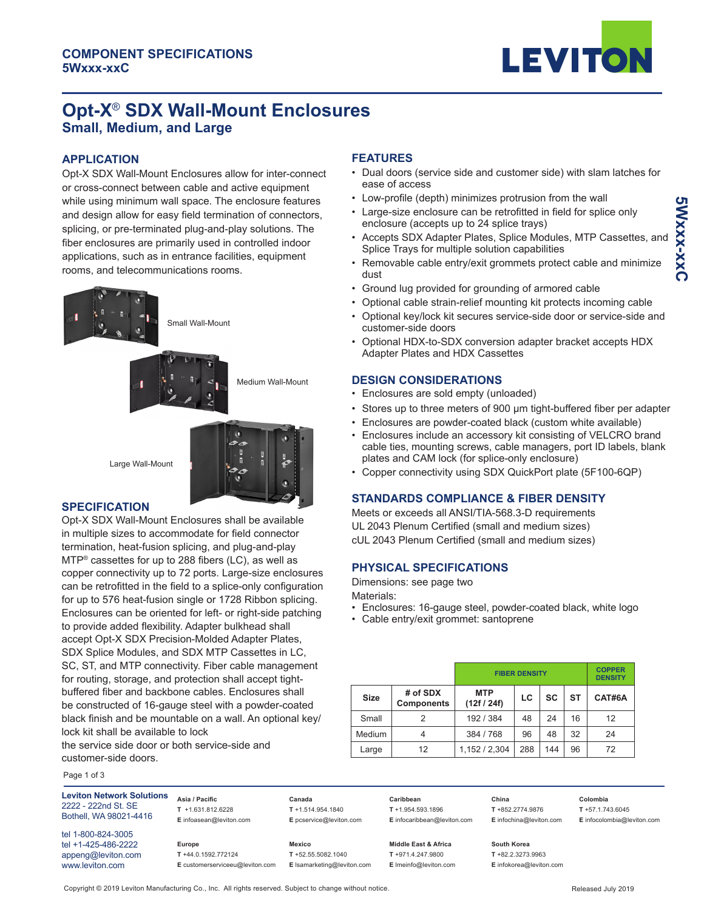

# **Opt-X**® **SDX Wall-Mount Enclosures Small, Medium, and Large**

### **APPLICATION**

Opt-X SDX Wall-Mount Enclosures allow for inter-connect or cross-connect between cable and active equipment while using minimum wall space. The enclosure features and design allow for easy field termination of connectors, splicing, or pre-terminated plug-and-play solutions. The fiber enclosures are primarily used in controlled indoor applications, such as in entrance facilities, equipment rooms, and telecommunications rooms.



Small Wall-Mount



Medium Wall-Mount

Large Wall-Mount



#### **SPECIFICATION**

Opt-X SDX Wall-Mount Enclosures shall be available in multiple sizes to accommodate for field connector termination, heat-fusion splicing, and plug-and-play MTP® cassettes for up to 288 fibers (LC), as well as copper connectivity up to 72 ports. Large-size enclosures can be retrofitted in the field to a splice-only configuration for up to 576 heat-fusion single or 1728 Ribbon splicing. Enclosures can be oriented for left- or right-side patching to provide added flexibility. Adapter bulkhead shall accept Opt-X SDX Precision-Molded Adapter Plates, SDX Splice Modules, and SDX MTP Cassettes in LC, SC, ST, and MTP connectivity. Fiber cable management for routing, storage, and protection shall accept tightbuffered fiber and backbone cables. Enclosures shall be constructed of 16-gauge steel with a powder-coated black finish and be mountable on a wall. An optional key/ lock kit shall be available to lock

the service side door or both service-side and customer-side doors.

#### Page 1 of 3

**Leviton Network Solutions** 2222 - 222nd St. SE Bothell, WA 98021-4416

tel 1-800-824-3005 tel +1-425-486-2222 appeng@leviton.com www.leviton.com

**Europe T** +44.0.1592.772124

**Asia / Pacific T** +1.631.812.6228 **E** infoasean@leviton.com **Canada T** +1.514.954.1840 **E** pcservice@leviton.com

**Mexico T** +52.55.5082.1040 **E** lsamarketing@leviton.com

**Caribbean T** +1.954.593.1896 **E** infocaribbean@leviton.com

> **Middle East & Africa T** +971.4.247.9800 **E** lmeinfo@leviton.com

**T** +852.2774.9876 **E** infochina@leviton.com

**Colombia T** +57.1.743.6045 **E** infocolombia@leviton.com

**South Korea T** +82.2.3273.9963 **E** infokorea@leviton.com

# **FEATURES**

- Dual doors (service side and customer side) with slam latches for ease of access
- Low-profile (depth) minimizes protrusion from the wall
- Large-size enclosure can be retrofitted in field for splice only enclosure (accepts up to 24 splice trays)
- Accepts SDX Adapter Plates, Splice Modules, MTP Cassettes, and Splice Trays for multiple solution capabilities
- Removable cable entry/exit grommets protect cable and minimize dust
- Ground lug provided for grounding of armored cable
- Optional cable strain-relief mounting kit protects incoming cable
- Optional key/lock kit secures service-side door or service-side and customer-side doors
- Optional HDX-to-SDX conversion adapter bracket accepts HDX Adapter Plates and HDX Cassettes

#### **DESIGN CONSIDERATIONS**

- Enclosures are sold empty (unloaded)
- Stores up to three meters of 900 μm tight-buffered fiber per adapter
- Enclosures are powder-coated black (custom white available)
- Enclosures include an accessory kit consisting of VELCRO brand cable ties, mounting screws, cable managers, port ID labels, blank plates and CAM lock (for splice-only enclosure)
- Copper connectivity using SDX QuickPort plate (5F100-6QP)

# **STANDARDS COMPLIANCE & FIBER DENSITY**

Meets or exceeds all ANSI/TIA-568.3-D requirements UL 2043 Plenum Certified (small and medium sizes) cUL 2043 Plenum Certified (small and medium sizes)

### **PHYSICAL SPECIFICATIONS**

Dimensions: see page two

- Enclosures: 16-gauge steel, powder-coated black, white logo
- Cable entry/exit grommet: santoprene

|             |                               | <b>FIBER DENSITY</b>      |     |     |           | <b>COPPER</b><br><b>DENSITY</b> |  |
|-------------|-------------------------------|---------------------------|-----|-----|-----------|---------------------------------|--|
| <b>Size</b> | # of SDX<br><b>Components</b> | <b>MTP</b><br>(12f / 24f) | LC  | SC  | <b>ST</b> | CAT#6A                          |  |
| Small       | 2                             | 192 / 384                 | 48  | 24  | 16        | 12                              |  |
| Medium      | 4                             | 384 / 768                 | 96  | 48  | 32        | 24                              |  |
| Large       | 12                            | 1,152 / 2,304             | 288 | 144 | 96        | 72                              |  |

**China** 

Copyright © 2019 Leviton Manufacturing Co., Inc. All rights reserved. Subject to change without notice.

**E** customerserviceeu@leviton.com

Materials: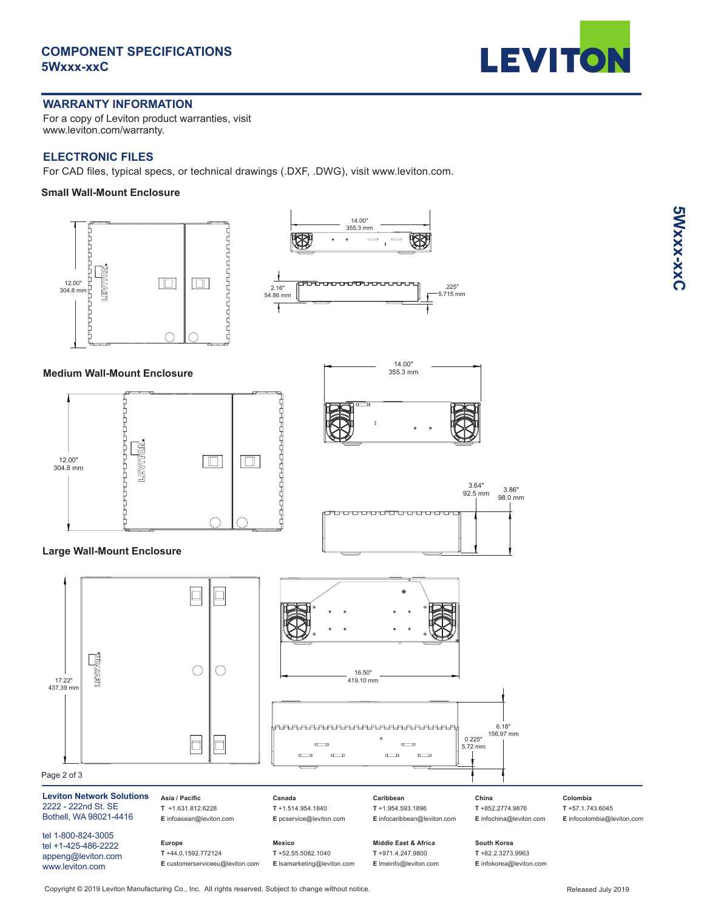## **COMPONENT SPECIFICATIONS 5Wxxx-xxC**



#### **WARRANTY INFORMATION**

For a copy of Leviton product warranties, visit www.leviton.com/warranty.

### **ELECTRONIC FILES**

For CAD files, typical specs, or technical drawings (.DXF, .DWG), visit www.leviton.com.

#### **Small Wall-Mount Enclosure**



Copyright © 2019 Leviton Manufacturing Co., Inc. All rights reserved. Subject to change without notice.